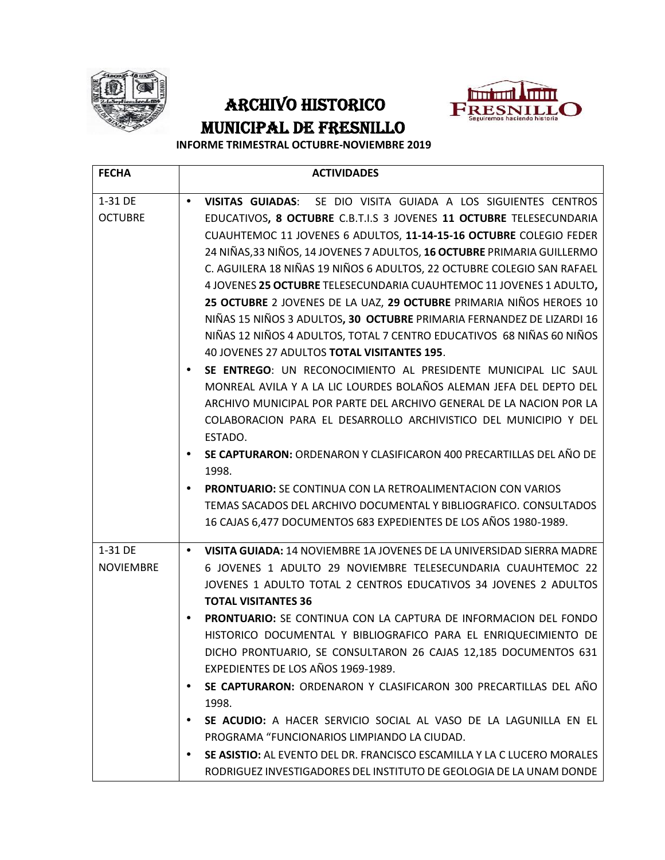

## ARCHIVO HISTORICO PRESNILLO **MUNICIPAL DE FRESNILLO**



**INFORME TRIMESTRAL OCTUBRE-NOVIEMBRE 2019**

| <b>FECHA</b>     | <b>ACTIVIDADES</b>                                                                             |  |  |
|------------------|------------------------------------------------------------------------------------------------|--|--|
| 1-31 DE          | SE DIO VISITA GUIADA A LOS SIGUIENTES CENTROS<br>VISITAS GUIADAS:                              |  |  |
| <b>OCTUBRE</b>   | EDUCATIVOS, 8 OCTUBRE C.B.T.I.S 3 JOVENES 11 OCTUBRE TELESECUNDARIA                            |  |  |
|                  | CUAUHTEMOC 11 JOVENES 6 ADULTOS, 11-14-15-16 OCTUBRE COLEGIO FEDER                             |  |  |
|                  | 24 NIÑAS, 33 NIÑOS, 14 JOVENES 7 ADULTOS, 16 OCTUBRE PRIMARIA GUILLERMO                        |  |  |
|                  | C. AGUILERA 18 NIÑAS 19 NIÑOS 6 ADULTOS, 22 OCTUBRE COLEGIO SAN RAFAEL                         |  |  |
|                  | 4 JOVENES 25 OCTUBRE TELESECUNDARIA CUAUHTEMOC 11 JOVENES 1 ADULTO,                            |  |  |
|                  | 25 OCTUBRE 2 JOVENES DE LA UAZ, 29 OCTUBRE PRIMARIA NIÑOS HEROES 10                            |  |  |
|                  | NIÑAS 15 NIÑOS 3 ADULTOS, 30 OCTUBRE PRIMARIA FERNANDEZ DE LIZARDI 16                          |  |  |
|                  | NIÑAS 12 NIÑOS 4 ADULTOS, TOTAL 7 CENTRO EDUCATIVOS 68 NIÑAS 60 NIÑOS                          |  |  |
|                  | 40 JOVENES 27 ADULTOS TOTAL VISITANTES 195.                                                    |  |  |
|                  | SE ENTREGO: UN RECONOCIMIENTO AL PRESIDENTE MUNICIPAL LIC SAUL                                 |  |  |
|                  | MONREAL AVILA Y A LA LIC LOURDES BOLAÑOS ALEMAN JEFA DEL DEPTO DEL                             |  |  |
|                  | ARCHIVO MUNICIPAL POR PARTE DEL ARCHIVO GENERAL DE LA NACION POR LA                            |  |  |
|                  | COLABORACION PARA EL DESARROLLO ARCHIVISTICO DEL MUNICIPIO Y DEL                               |  |  |
|                  | ESTADO.                                                                                        |  |  |
|                  | SE CAPTURARON: ORDENARON Y CLASIFICARON 400 PRECARTILLAS DEL AÑO DE<br>1998.                   |  |  |
|                  | PRONTUARIO: SE CONTINUA CON LA RETROALIMENTACION CON VARIOS                                    |  |  |
|                  | TEMAS SACADOS DEL ARCHIVO DOCUMENTAL Y BIBLIOGRAFICO. CONSULTADOS                              |  |  |
|                  | 16 CAJAS 6,477 DOCUMENTOS 683 EXPEDIENTES DE LOS AÑOS 1980-1989.                               |  |  |
| 1-31 DE          | VISITA GUIADA: 14 NOVIEMBRE 1A JOVENES DE LA UNIVERSIDAD SIERRA MADRE                          |  |  |
| <b>NOVIEMBRE</b> | 6 JOVENES 1 ADULTO 29 NOVIEMBRE TELESECUNDARIA CUAUHTEMOC 22                                   |  |  |
|                  | JOVENES 1 ADULTO TOTAL 2 CENTROS EDUCATIVOS 34 JOVENES 2 ADULTOS<br><b>TOTAL VISITANTES 36</b> |  |  |
|                  | PRONTUARIO: SE CONTINUA CON LA CAPTURA DE INFORMACION DEL FONDO                                |  |  |
|                  | HISTORICO DOCUMENTAL Y BIBLIOGRAFICO PARA EL ENRIQUECIMIENTO DE                                |  |  |
|                  | DICHO PRONTUARIO, SE CONSULTARON 26 CAJAS 12,185 DOCUMENTOS 631                                |  |  |
|                  | EXPEDIENTES DE LOS AÑOS 1969-1989.                                                             |  |  |
|                  | SE CAPTURARON: ORDENARON Y CLASIFICARON 300 PRECARTILLAS DEL AÑO                               |  |  |
|                  | 1998.                                                                                          |  |  |
|                  | SE ACUDIO: A HACER SERVICIO SOCIAL AL VASO DE LA LAGUNILLA EN EL                               |  |  |
|                  | PROGRAMA "FUNCIONARIOS LIMPIANDO LA CIUDAD.                                                    |  |  |
|                  | SE ASISTIO: AL EVENTO DEL DR. FRANCISCO ESCAMILLA Y LA C LUCERO MORALES                        |  |  |
|                  | RODRIGUEZ INVESTIGADORES DEL INSTITUTO DE GEOLOGIA DE LA UNAM DONDE                            |  |  |